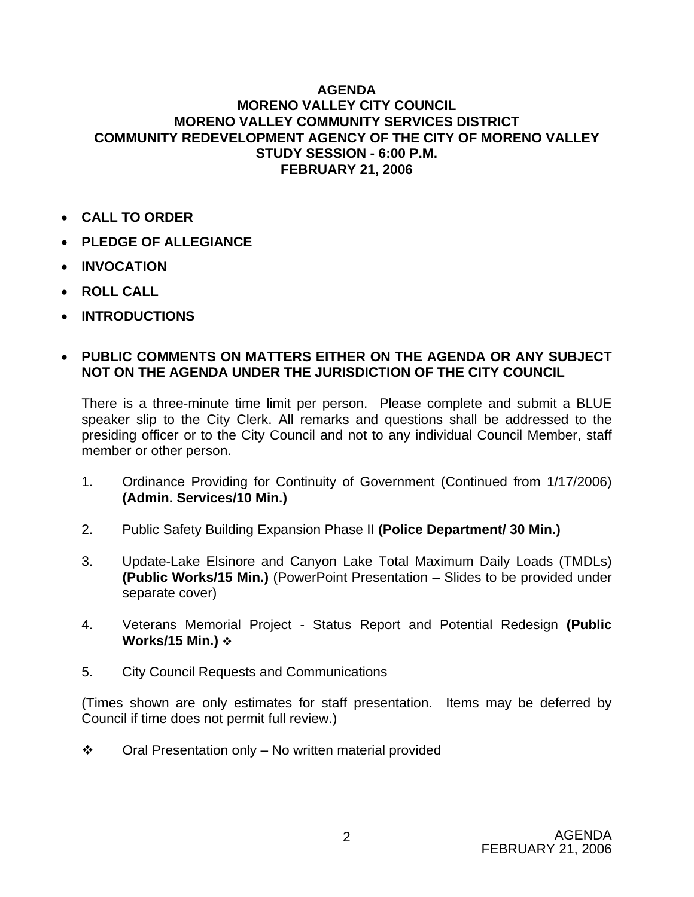## **AGENDA MORENO VALLEY CITY COUNCIL MORENO VALLEY COMMUNITY SERVICES DISTRICT COMMUNITY REDEVELOPMENT AGENCY OF THE CITY OF MORENO VALLEY STUDY SESSION - 6:00 P.M. FEBRUARY 21, 2006**

- **CALL TO ORDER**
- **PLEDGE OF ALLEGIANCE**
- **INVOCATION**
- **ROLL CALL**
- **INTRODUCTIONS**

## • **PUBLIC COMMENTS ON MATTERS EITHER ON THE AGENDA OR ANY SUBJECT NOT ON THE AGENDA UNDER THE JURISDICTION OF THE CITY COUNCIL**

There is a three-minute time limit per person. Please complete and submit a BLUE speaker slip to the City Clerk. All remarks and questions shall be addressed to the presiding officer or to the City Council and not to any individual Council Member, staff member or other person.

- 1. Ordinance Providing for Continuity of Government (Continued from 1/17/2006) **(Admin. Services/10 Min.)**
- 2. Public Safety Building Expansion Phase II **(Police Department/ 30 Min.)**
- 3. Update-Lake Elsinore and Canyon Lake Total Maximum Daily Loads (TMDLs) **(Public Works/15 Min.)** (PowerPoint Presentation – Slides to be provided under separate cover)
- 4. Veterans Memorial Project Status Report and Potential Redesign **(Public Works/15 Min.)**
- 5. City Council Requests and Communications

(Times shown are only estimates for staff presentation. Items may be deferred by Council if time does not permit full review.)

 $\cdot \cdot$  Oral Presentation only – No written material provided